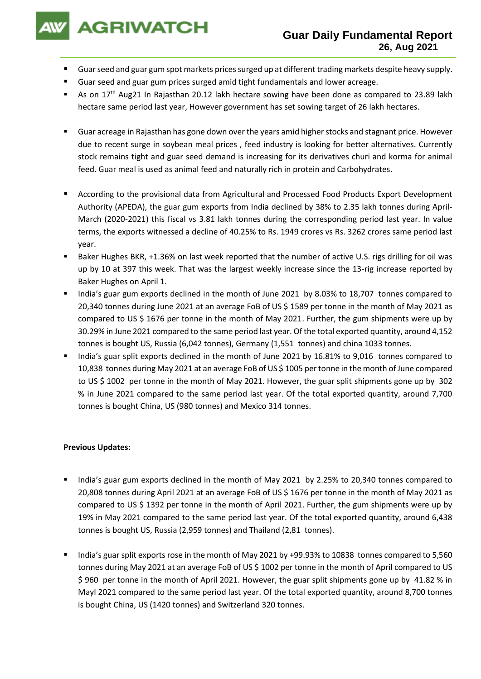**AGRIWATCH** 

- Guar seed and guar gum spot markets prices surged up at different trading markets despite heavy supply.
- Guar seed and guar gum prices surged amid tight fundamentals and lower acreage.
- As on 17<sup>th</sup> Aug21 In Rajasthan 20.12 lakh hectare sowing have been done as compared to 23.89 lakh hectare same period last year, However government has set sowing target of 26 lakh hectares.
- Guar acreage in Rajasthan has gone down over the years amid higher stocks and stagnant price. However due to recent surge in soybean meal prices , feed industry is looking for better alternatives. Currently stock remains tight and guar seed demand is increasing for its derivatives churi and korma for animal feed. Guar meal is used as animal feed and naturally rich in protein and Carbohydrates.
- According to the provisional data from Agricultural and Processed Food Products Export Development Authority (APEDA), the guar gum exports from India declined by 38% to 2.35 lakh tonnes during April-March (2020-2021) this fiscal vs 3.81 lakh tonnes during the corresponding period last year. In value terms, the exports witnessed a decline of 40.25% to Rs. 1949 crores vs Rs. 3262 crores same period last year.
- Baker Hughes BKR, +1.36% on last week reported that the number of active U.S. rigs drilling for oil was up by 10 at 397 this week. That was the largest weekly increase since the 13-rig increase reported by Baker Hughes on April 1.
- India's guar gum exports declined in the month of June 2021 by 8.03% to 18,707 tonnes compared to 20,340 tonnes during June 2021 at an average FoB of US \$ 1589 per tonne in the month of May 2021 as compared to US \$ 1676 per tonne in the month of May 2021. Further, the gum shipments were up by 30.29% in June 2021 compared to the same period last year. Of the total exported quantity, around 4,152 tonnes is bought US, Russia (6,042 tonnes), Germany (1,551 tonnes) and china 1033 tonnes.
- India's guar split exports declined in the month of June 2021 by 16.81% to 9,016 tonnes compared to 10,838 tonnes during May 2021 at an average FoB of US \$ 1005 per tonne in the month of June compared to US \$ 1002 per tonne in the month of May 2021. However, the guar split shipments gone up by 302 % in June 2021 compared to the same period last year. Of the total exported quantity, around 7,700 tonnes is bought China, US (980 tonnes) and Mexico 314 tonnes.

## **Previous Updates:**

- India's guar gum exports declined in the month of May 2021 by 2.25% to 20,340 tonnes compared to 20,808 tonnes during April 2021 at an average FoB of US \$ 1676 per tonne in the month of May 2021 as compared to US \$ 1392 per tonne in the month of April 2021. Further, the gum shipments were up by 19% in May 2021 compared to the same period last year. Of the total exported quantity, around 6,438 tonnes is bought US, Russia (2,959 tonnes) and Thailand (2,81 tonnes).
- India's guar split exports rose in the month of May 2021 by +99.93% to 10838 tonnes compared to 5,560 tonnes during May 2021 at an average FoB of US \$ 1002 per tonne in the month of April compared to US \$ 960 per tonne in the month of April 2021. However, the guar split shipments gone up by 41.82 % in Mayl 2021 compared to the same period last year. Of the total exported quantity, around 8,700 tonnes is bought China, US (1420 tonnes) and Switzerland 320 tonnes.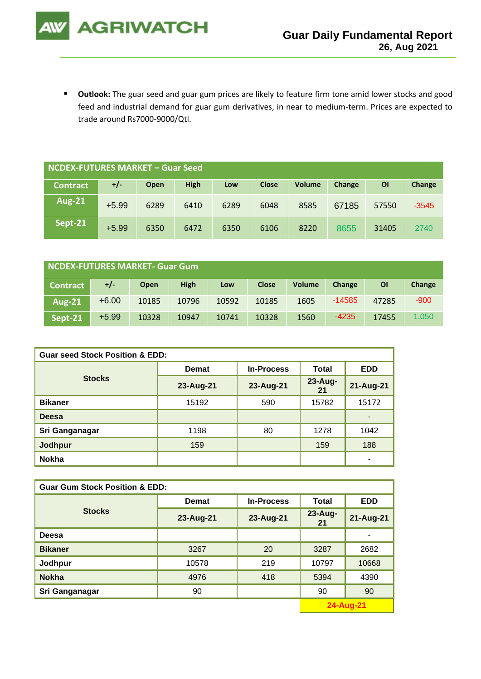

■ Outlook: The guar seed and guar gum prices are likely to feature firm tone amid lower stocks and good feed and industrial demand for guar gum derivatives, in near to medium-term. Prices are expected to trade around Rs7000-9000/Qtl.

| NCDEX-FUTURES MARKET - Guar Seed |         |      |             |      |              |               |        |       |         |
|----------------------------------|---------|------|-------------|------|--------------|---------------|--------|-------|---------|
| <b>Contract</b>                  | $+/-$   | Open | <b>High</b> | Low  | <b>Close</b> | <b>Volume</b> | Change | ΟI    | Change  |
| <b>Aug-21</b>                    | $+5.99$ | 6289 | 6410        | 6289 | 6048         | 8585          | 67185  | 57550 | $-3545$ |
| Sept-21                          | $+5.99$ | 6350 | 6472        | 6350 | 6106         | 8220          | 8655   | 31405 | 2740    |

| NCDEX-FUTURES MARKET- Guar Gum |         |             |             |       |              |               |          |           |        |
|--------------------------------|---------|-------------|-------------|-------|--------------|---------------|----------|-----------|--------|
| <b>Contract</b>                | +/-     | <b>Open</b> | <b>High</b> | Low   | <b>Close</b> | <b>Volume</b> | Change   | <b>OI</b> | Change |
| <b>Aug-21</b>                  | $+6.00$ | 10185       | 10796       | 10592 | 10185        | 1605          | $-14585$ | 47285     | $-900$ |
| Sept-21                        | $+5.99$ | 10328       | 10947       | 10741 | 10328        | 1560          | $-4235$  | 17455     | 1,050  |

| <b>Guar seed Stock Position &amp; EDD:</b> |              |                   |               |                          |  |  |  |
|--------------------------------------------|--------------|-------------------|---------------|--------------------------|--|--|--|
|                                            | <b>Demat</b> | <b>In-Process</b> | Total         | <b>EDD</b>               |  |  |  |
| <b>Stocks</b>                              | 23-Aug-21    | 23-Aug-21         | 23-Aug-<br>21 | 21-Aug-21                |  |  |  |
| <b>Bikaner</b>                             | 15192        | 590               | 15782         | 15172                    |  |  |  |
| <b>Deesa</b>                               |              |                   |               | $\blacksquare$           |  |  |  |
| Sri Ganganagar                             | 1198         | 80                | 1278          | 1042                     |  |  |  |
| <b>Jodhpur</b>                             | 159          |                   | 159           | 188                      |  |  |  |
| <b>Nokha</b>                               |              |                   |               | $\overline{\phantom{a}}$ |  |  |  |

| <b>Guar Gum Stock Position &amp; EDD:</b> |           |                   |                   |            |  |  |
|-------------------------------------------|-----------|-------------------|-------------------|------------|--|--|
|                                           | Demat     | <b>In-Process</b> | <b>Total</b>      | <b>EDD</b> |  |  |
| <b>Stocks</b>                             | 23-Aug-21 | 23-Aug-21         | $23 - Aug-$<br>21 | 21-Aug-21  |  |  |
| Deesa                                     |           |                   |                   |            |  |  |
| <b>Bikaner</b>                            | 3267      | 20                | 3287              | 2682       |  |  |
| Jodhpur                                   | 10578     | 219               | 10797             | 10668      |  |  |
| <b>Nokha</b>                              | 4976      | 418               | 5394              | 4390       |  |  |
| Sri Ganganagar                            | 90        |                   | 90                | 90         |  |  |
|                                           |           |                   |                   | 24-Aug-21  |  |  |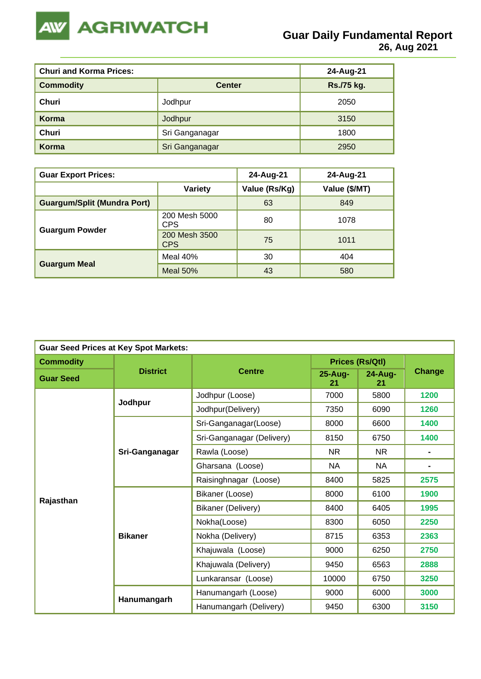

| <b>Churi and Korma Prices:</b> | 24-Aug-21      |            |
|--------------------------------|----------------|------------|
| <b>Commodity</b>               | <b>Center</b>  | Rs./75 kg. |
| Churi                          | Jodhpur        | 2050       |
| Korma                          | Jodhpur        | 3150       |
| Churi                          | Sri Ganganagar | 1800       |
| Korma                          | Sri Ganganagar | 2950       |

| <b>Guar Export Prices:</b>         |                             | 24-Aug-21     | 24-Aug-21     |
|------------------------------------|-----------------------------|---------------|---------------|
|                                    | <b>Variety</b>              | Value (Rs/Kg) | Value (\$/MT) |
| <b>Guargum/Split (Mundra Port)</b> |                             | 63            | 849           |
|                                    | 200 Mesh 5000<br><b>CPS</b> | 80            | 1078          |
| <b>Guargum Powder</b>              | 200 Mesh 3500<br><b>CPS</b> | 75            | 1011          |
|                                    | Meal 40%                    | 30            | 404           |
| <b>Guargum Meal</b>                | Meal $50\%$                 | 43            | 580           |

| <b>Guar Seed Prices at Key Spot Markets:</b> |                 |                           |                        |                    |                |  |  |
|----------------------------------------------|-----------------|---------------------------|------------------------|--------------------|----------------|--|--|
| <b>Commodity</b>                             |                 |                           | <b>Prices (Rs/Qtl)</b> |                    |                |  |  |
| <b>Guar Seed</b>                             | <b>District</b> | <b>Centre</b>             | 25-Aug-<br>21          | $24 - Aug -$<br>21 | Change         |  |  |
|                                              | Jodhpur         | Jodhpur (Loose)           | 7000                   | 5800               | 1200           |  |  |
|                                              |                 | Jodhpur(Delivery)         | 7350                   | 6090               | 1260           |  |  |
|                                              |                 | Sri-Ganganagar(Loose)     | 8000                   | 6600               | 1400           |  |  |
|                                              |                 | Sri-Ganganagar (Delivery) | 8150                   | 6750               | 1400           |  |  |
|                                              | Sri-Ganganagar  | Rawla (Loose)             | <b>NR</b>              | <b>NR</b>          | $\blacksquare$ |  |  |
|                                              |                 | Gharsana (Loose)          | <b>NA</b>              | <b>NA</b>          | ۰              |  |  |
|                                              |                 | Raisinghnagar (Loose)     | 8400                   | 5825               | 2575           |  |  |
|                                              |                 | Bikaner (Loose)           | 8000                   | 6100               | 1900           |  |  |
| Rajasthan                                    |                 | Bikaner (Delivery)        | 8400                   | 6405               | 1995           |  |  |
|                                              |                 | Nokha(Loose)              | 8300                   | 6050               | 2250           |  |  |
|                                              | <b>Bikaner</b>  | Nokha (Delivery)          | 8715                   | 6353               | 2363           |  |  |
|                                              |                 | Khajuwala (Loose)         | 9000                   | 6250               | 2750           |  |  |
|                                              |                 | Khajuwala (Delivery)      | 9450                   | 6563               | 2888           |  |  |
|                                              |                 | Lunkaransar (Loose)       | 10000                  | 6750               | 3250           |  |  |
|                                              |                 | Hanumangarh (Loose)       | 9000                   | 6000               | 3000           |  |  |
|                                              | Hanumangarh     | Hanumangarh (Delivery)    | 9450                   | 6300               | 3150           |  |  |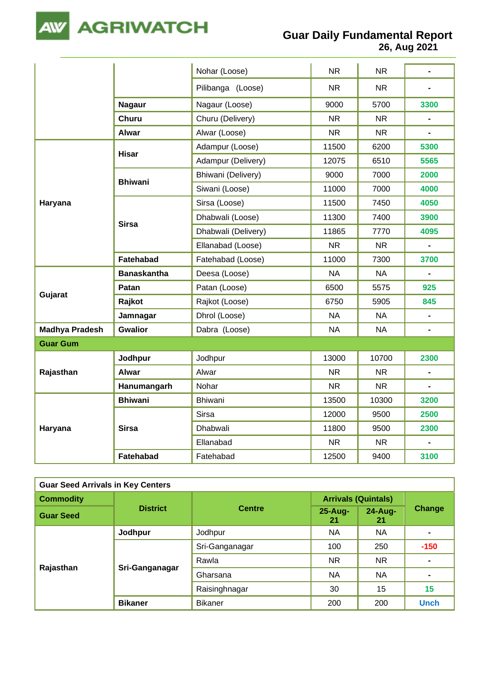

**Guar Daily Fundamental Report**

**26, Aug 2021**

|                       |                    | Nohar (Loose)       | NR.       | <b>NR</b> | $\blacksquare$ |
|-----------------------|--------------------|---------------------|-----------|-----------|----------------|
|                       |                    | Pilibanga (Loose)   | <b>NR</b> | <b>NR</b> |                |
|                       | <b>Nagaur</b>      | Nagaur (Loose)      | 9000      | 5700      | 3300           |
|                       | <b>Churu</b>       | Churu (Delivery)    | <b>NR</b> | <b>NR</b> |                |
|                       | <b>Alwar</b>       | Alwar (Loose)       | NR.       | <b>NR</b> | $\blacksquare$ |
|                       | <b>Hisar</b>       | Adampur (Loose)     | 11500     | 6200      | 5300           |
|                       |                    | Adampur (Delivery)  | 12075     | 6510      | 5565           |
|                       | <b>Bhiwani</b>     | Bhiwani (Delivery)  | 9000      | 7000      | 2000           |
|                       |                    | Siwani (Loose)      | 11000     | 7000      | 4000           |
| Haryana               |                    | Sirsa (Loose)       | 11500     | 7450      | 4050           |
|                       |                    | Dhabwali (Loose)    | 11300     | 7400      | 3900           |
|                       | <b>Sirsa</b>       | Dhabwali (Delivery) | 11865     | 7770      | 4095           |
|                       |                    | Ellanabad (Loose)   | <b>NR</b> | <b>NR</b> | $\blacksquare$ |
|                       | Fatehabad          | Fatehabad (Loose)   | 11000     | 7300      | 3700           |
|                       | <b>Banaskantha</b> | Deesa (Loose)       | <b>NA</b> | <b>NA</b> | $\blacksquare$ |
|                       | Patan              | Patan (Loose)       | 6500      | 5575      | 925            |
| Gujarat               | Rajkot             | Rajkot (Loose)      | 6750      | 5905      | 845            |
|                       | Jamnagar           | Dhrol (Loose)       | <b>NA</b> | <b>NA</b> | $\blacksquare$ |
| <b>Madhya Pradesh</b> | <b>Gwalior</b>     | Dabra (Loose)       | <b>NA</b> | <b>NA</b> | $\blacksquare$ |
| <b>Guar Gum</b>       |                    |                     |           |           |                |
|                       | Jodhpur            | Jodhpur             | 13000     | 10700     | 2300           |
| Rajasthan             | <b>Alwar</b>       | Alwar               | <b>NR</b> | <b>NR</b> | $\blacksquare$ |
|                       | Hanumangarh        | Nohar               | <b>NR</b> | <b>NR</b> | $\blacksquare$ |
|                       | <b>Bhiwani</b>     | Bhiwani             | 13500     | 10300     | 3200           |
|                       |                    | <b>Sirsa</b>        | 12000     | 9500      | 2500           |
| Haryana               | <b>Sirsa</b>       | Dhabwali            | 11800     | 9500      | 2300           |
|                       |                    | Ellanabad           | <b>NR</b> | <b>NR</b> | $\overline{a}$ |
|                       | Fatehabad          | Fatehabad           | 12500     | 9400      | 3100           |

| <b>Guar Seed Arrivals in Key Centers</b> |                 |                |                            |               |                |  |
|------------------------------------------|-----------------|----------------|----------------------------|---------------|----------------|--|
| <b>Commodity</b>                         |                 | <b>Centre</b>  | <b>Arrivals (Quintals)</b> |               |                |  |
| <b>Guar Seed</b>                         | <b>District</b> |                | $25 - Aug -$<br>21         | 24-Aug-<br>21 | Change         |  |
|                                          | Jodhpur         | Jodhpur        | NA                         | <b>NA</b>     | ۰              |  |
|                                          | Sri-Ganganagar  | Sri-Ganganagar | 100                        | 250           | $-150$         |  |
|                                          |                 | Rawla          | NR.                        | <b>NR</b>     | $\blacksquare$ |  |
| Rajasthan                                |                 | Gharsana       | <b>NA</b>                  | <b>NA</b>     | $\blacksquare$ |  |
|                                          |                 | Raisinghnagar  | 30                         | 15            | 15             |  |
|                                          | <b>Bikaner</b>  | <b>Bikaner</b> | 200                        | 200           | <b>Unch</b>    |  |